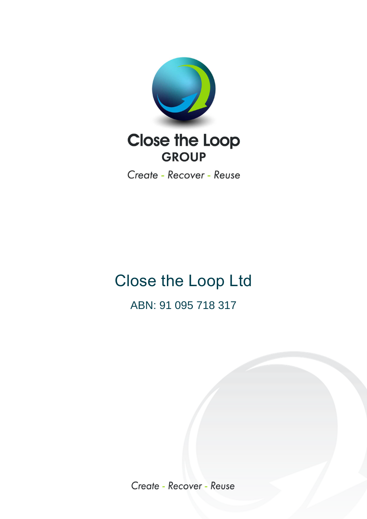

Create - Recover - Reuse

## Close the Loop Ltd ABN: 91 095 718 317

Create - Recover - Reuse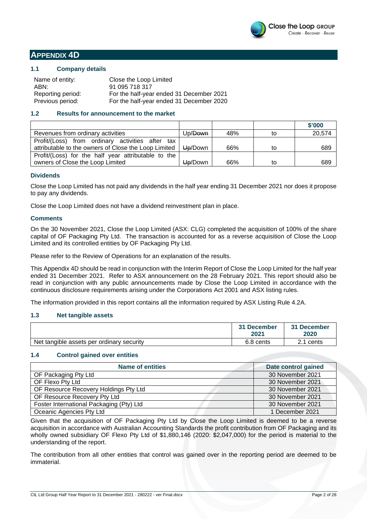

#### **APPENDIX 4D**

#### **1.1 Company details**

| Name of entity:   | Close the Loop Limited                   |
|-------------------|------------------------------------------|
| ABN:              | 91 095 718 317                           |
| Reporting period: | For the half-year ended 31 December 2021 |
| Previous period:  | For the half-year ended 31 December 2020 |

#### **1.2 Results for announcement to the market**

|                                                                |                     |     |    | \$'000 |
|----------------------------------------------------------------|---------------------|-----|----|--------|
| Revenues from ordinary activities                              | Up/ <del>Down</del> | 48% | to | 20,574 |
| Profit/(Loss) from ordinary activities after tax               |                     |     |    |        |
| attributable to the owners of Close the Loop Limited   Up/Down |                     | 66% | to | 689    |
| Profit/(Loss) for the half year attributable to the            |                     |     |    |        |
| owners of Close the Loop Limited                               | Up/Down             | 66% | to | 689    |

#### **Dividends**

Close the Loop Limited has not paid any dividends in the half year ending 31 December 2021 nor does it propose to pay any dividends.

Close the Loop Limited does not have a dividend reinvestment plan in place.

#### **Comments**

On the 30 November 2021, Close the Loop Limited (ASX: CLG) completed the acquisition of 100% of the share capital of OF Packaging Pty Ltd. The transaction is accounted for as a reverse acquisition of Close the Loop Limited and its controlled entities by OF Packaging Pty Ltd.

Please refer to the Review of Operations for an explanation of the results.

This Appendix 4D should be read in conjunction with the Interim Report of Close the Loop Limited for the half year ended 31 December 2021. Refer to ASX announcement on the 28 February 2021. This report should also be read in conjunction with any public announcements made by Close the Loop Limited in accordance with the continuous disclosure requirements arising under the Corporations Act 2001 and ASX listing rules.

The information provided in this report contains all the information required by ASX Listing Rule 4.2A.

#### **1.3 Net tangible assets**

|                                           | 31 December<br>2021 | 31 December<br>2020 |
|-------------------------------------------|---------------------|---------------------|
| Net tangible assets per ordinary security | 6.8 cents           | cents<br><b>CO</b>  |

#### **1.4 Control gained over entities**

| <b>Name of entities</b>                  | Date control gained |
|------------------------------------------|---------------------|
| OF Packaging Pty Ltd                     | 30 November 2021    |
| OF Flexo Pty Ltd                         | 30 November 2021    |
| OF Resource Recovery Holdings Pty Ltd    | 30 November 2021    |
| OF Resource Recovery Pty Ltd             | 30 November 2021    |
| Foster International Packaging (Pty) Ltd | 30 November 2021    |
| Oceanic Agencies Pty Ltd                 | 1 December 2021     |

Given that the acquisition of OF Packaging Pty Ltd by Close the Loop Limited is deemed to be a reverse acquisition in accordance with Australian Accounting Standards the profit contribution from OF Packaging and its wholly owned subsidiary OF Flexo Pty Ltd of \$1,880,146 (2020: \$2,047,000) for the period is material to the understanding of the report.

The contribution from all other entities that control was gained over in the reporting period are deemed to be immaterial.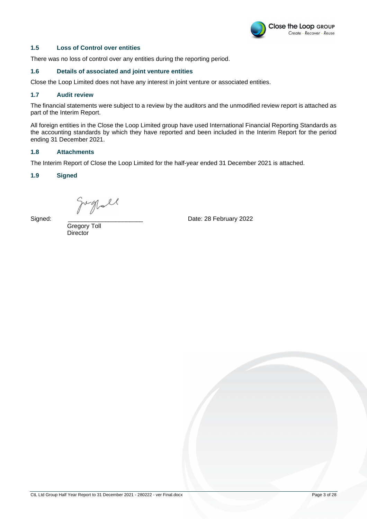

#### **1.5 Loss of Control over entities**

There was no loss of control over any entities during the reporting period.

#### **1.6 Details of associated and joint venture entities**

Close the Loop Limited does not have any interest in joint venture or associated entities.

#### **1.7 Audit review**

The financial statements were subject to a review by the auditors and the unmodified review report is attached as part of the Interim Report.

All foreign entities in the Close the Loop Limited group have used International Financial Reporting Standards as the accounting standards by which they have reported and been included in the Interim Report for the period ending 31 December 2021.

#### **1.8 Attachments**

The Interim Report of Close the Loop Limited for the half-year ended 31 December 2021 is attached.

#### **1.9 Signed**

 $Sipred:$ <br>Signed:  $Sipred:$  Date: 28 February 2022

 Gregory Toll **Director**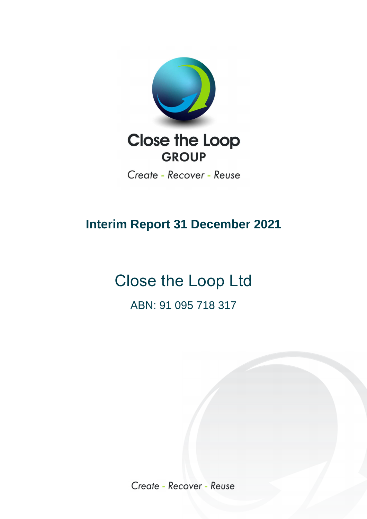

Create - Recover - Reuse

### **Interim Report 31 December 2021**

# Close the Loop Ltd ABN: 91 095 718 317

Create - Recover - Reuse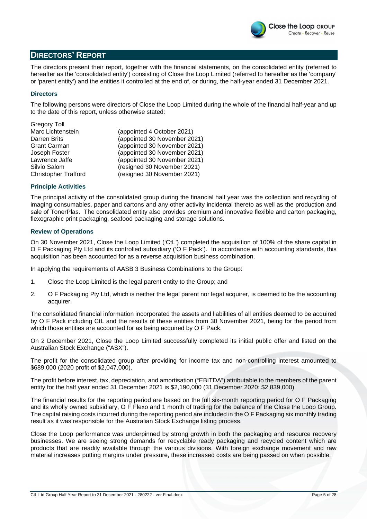

#### **DIRECTORS' REPORT**

The directors present their report, together with the financial statements, on the consolidated entity (referred to hereafter as the 'consolidated entity') consisting of Close the Loop Limited (referred to hereafter as the 'company' or 'parent entity') and the entities it controlled at the end of, or during, the half-year ended 31 December 2021.

#### **Directors**

The following persons were directors of Close the Loop Limited during the whole of the financial half-year and up to the date of this report, unless otherwise stated:

| <b>Gregory Toll</b>         |                              |
|-----------------------------|------------------------------|
| Marc Lichtenstein           | (appointed 4 October 2021)   |
| Darren Brits                | (appointed 30 November 2021) |
| <b>Grant Carman</b>         | (appointed 30 November 2021) |
| Joseph Foster               | (appointed 30 November 2021) |
| Lawrence Jaffe              | (appointed 30 November 2021) |
| Silvio Salom                | (resigned 30 November 2021)  |
| <b>Christopher Trafford</b> | (resigned 30 November 2021)  |
|                             |                              |

#### **Principle Activities**

The principal activity of the consolidated group during the financial half year was the collection and recycling of imaging consumables, paper and cartons and any other activity incidental thereto as well as the production and sale of TonerPlas. The consolidated entity also provides premium and innovative flexible and carton packaging, flexographic print packaging, seafood packaging and storage solutions.

#### **Review of Operations**

On 30 November 2021, Close the Loop Limited ('CtL') completed the acquisition of 100% of the share capital in O F Packaging Pty Ltd and its controlled subsidiary ('O F Pack'). In accordance with accounting standards, this acquisition has been accounted for as a reverse acquisition business combination.

In applying the requirements of AASB 3 Business Combinations to the Group:

- 1. Close the Loop Limited is the legal parent entity to the Group; and
- 2. O F Packaging Pty Ltd, which is neither the legal parent nor legal acquirer, is deemed to be the accounting acquirer.

The consolidated financial information incorporated the assets and liabilities of all entities deemed to be acquired by O F Pack including CtL and the results of these entities from 30 November 2021, being for the period from which those entities are accounted for as being acquired by O F Pack.

On 2 December 2021, Close the Loop Limited successfully completed its initial public offer and listed on the Australian Stock Exchange ("ASX").

The profit for the consolidated group after providing for income tax and non-controlling interest amounted to \$689,000 (2020 profit of \$2,047,000).

The profit before interest, tax, depreciation, and amortisation ("EBITDA") attributable to the members of the parent entity for the half year ended 31 December 2021 is \$2,190,000 (31 December 2020: \$2,839,000).

The financial results for the reporting period are based on the full six-month reporting period for O F Packaging and its wholly owned subsidiary, O F Flexo and 1 month of trading for the balance of the Close the Loop Group. The capital raising costs incurred during the reporting period are included in the O F Packaging six monthly trading result as it was responsible for the Australian Stock Exchange listing process.

Close the Loop performance was underpinned by strong growth in both the packaging and resource recovery businesses. We are seeing strong demands for recyclable ready packaging and recycled content which are products that are readily available through the various divisions. With foreign exchange movement and raw material increases putting margins under pressure, these increased costs are being passed on when possible.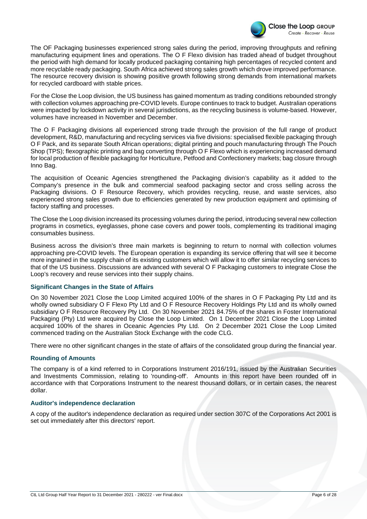

The OF Packaging businesses experienced strong sales during the period, improving throughputs and refining manufacturing equipment lines and operations. The O F Flexo division has traded ahead of budget throughout the period with high demand for locally produced packaging containing high percentages of recycled content and more recyclable ready packaging. South Africa achieved strong sales growth which drove improved performance. The resource recovery division is showing positive growth following strong demands from international markets for recycled cardboard with stable prices.

For the Close the Loop division, the US business has gained momentum as trading conditions rebounded strongly with collection volumes approaching pre-COVID levels. Europe continues to track to budget. Australian operations were impacted by lockdown activity in several jurisdictions, as the recycling business is volume-based. However, volumes have increased in November and December.

The O F Packaging divisions all experienced strong trade through the provision of the full range of product development, R&D, manufacturing and recycling services via five divisions: specialised flexible packaging through O F Pack, and its separate South African operations; digital printing and pouch manufacturing through The Pouch Shop (TPS); flexographic printing and bag converting through O F Flexo which is experiencing increased demand for local production of flexible packaging for Horticulture, Petfood and Confectionery markets; bag closure through Inno Bag.

The acquisition of Oceanic Agencies strengthened the Packaging division's capability as it added to the Company's presence in the bulk and commercial seafood packaging sector and cross selling across the Packaging divisions. O F Resource Recovery, which provides recycling, reuse, and waste services, also experienced strong sales growth due to efficiencies generated by new production equipment and optimising of factory staffing and processes.

The Close the Loop division increased its processing volumes during the period, introducing several new collection programs in cosmetics, eyeglasses, phone case covers and power tools, complementing its traditional imaging consumables business.

Business across the division's three main markets is beginning to return to normal with collection volumes approaching pre-COVID levels. The European operation is expanding its service offering that will see it become more ingrained in the supply chain of its existing customers which will allow it to offer similar recycling services to that of the US business. Discussions are advanced with several O F Packaging customers to integrate Close the Loop's recovery and reuse services into their supply chains.

#### **Significant Changes in the State of Affairs**

On 30 November 2021 Close the Loop Limited acquired 100% of the shares in O F Packaging Pty Ltd and its wholly owned subsidiary O F Flexo Pty Ltd and O F Resource Recovery Holdings Pty Ltd and its wholly owned subsidiary O F Resource Recovery Pty Ltd. On 30 November 2021 84.75% of the shares in Foster International Packaging (Pty) Ltd were acquired by Close the Loop Limited. On 1 December 2021 Close the Loop Limited acquired 100% of the shares in Oceanic Agencies Pty Ltd. On 2 December 2021 Close the Loop Limited commenced trading on the Australian Stock Exchange with the code CLG.

There were no other significant changes in the state of affairs of the consolidated group during the financial year.

#### **Rounding of Amounts**

The company is of a kind referred to in Corporations Instrument 2016/191, issued by the Australian Securities and Investments Commission, relating to 'rounding-off'. Amounts in this report have been rounded off in accordance with that Corporations Instrument to the nearest thousand dollars, or in certain cases, the nearest dollar.

#### **Auditor's independence declaration**

A copy of the auditor's independence declaration as required under section 307C of the Corporations Act 2001 is set out immediately after this directors' report.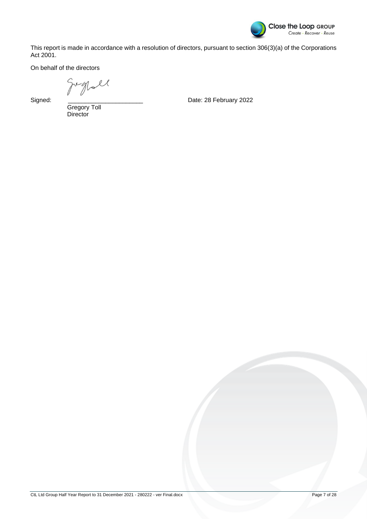

This report is made in accordance with a resolution of directors, pursuant to section 306(3)(a) of the Corporations Act 2001.

On behalf of the directors

grall

Signed:

Gregory Toll **Director** 

Date: 28 February 2022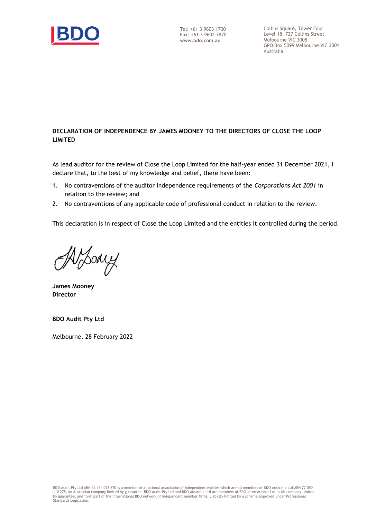

Collins Square, Tower Four Level 18, 727 Collins Street Melbourne VIC 3008 GPO Box 5099 Melbourne VIC 3001 Australia

#### **DECLARATION OF INDEPENDENCE BY JAMES MOONEY TO THE DIRECTORS OF CLOSE THE LOOP LIMITED**

As lead auditor for the review of Close the Loop Limited for the half-year ended 31 December 2021, I declare that, to the best of my knowledge and belief, there have been:

- 1. No contraventions of the auditor independence requirements of the *Corporations Act 2001* in relation to the review; and
- 2. No contraventions of any applicable code of professional conduct in relation to the review.

This declaration is in respect of Close the Loop Limited and the entities it controlled during the period.

Voony

**James Mooney Director**

**BDO Audit Pty Ltd**

Melbourne, 28 February 2022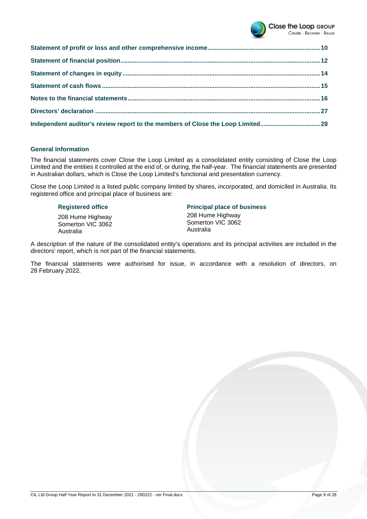

| Independent auditor's review report to the members of Close the Loop Limited28 |  |
|--------------------------------------------------------------------------------|--|

#### **General Information**

The financial statements cover Close the Loop Limited as a consolidated entity consisting of Close the Loop Limited and the entities it controlled at the end of, or during, the half-year. The financial statements are presented in Australian dollars, which is Close the Loop Limited's functional and presentation currency.

Close the Loop Limited is a listed public company limited by shares, incorporated, and domiciled in Australia. Its registered office and principal place of business are:

208 Hume Highway Somerton VIC 3062 Australia

#### **Registered office Principal place of business**

208 Hume Highway Somerton VIC 3062 Australia

A description of the nature of the consolidated entity's operations and its principal activities are included in the directors' report, which is not part of the financial statements.

The financial statements were authorised for issue, in accordance with a resolution of directors, on 28 February 2022.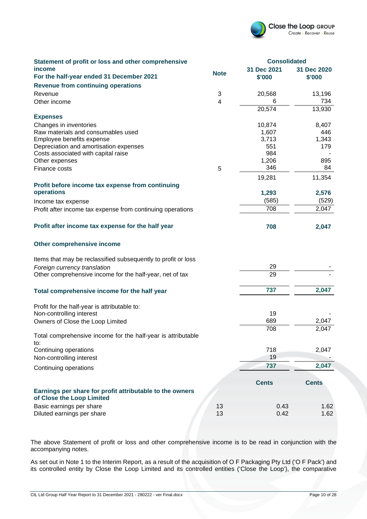

| Statement of profit or loss and other comprehensive                                   |             | <b>Consolidated</b> |              |
|---------------------------------------------------------------------------------------|-------------|---------------------|--------------|
| income                                                                                | <b>Note</b> | 31 Dec 2021         | 31 Dec 2020  |
| For the half-year ended 31 December 2021                                              |             | \$'000              | \$'000       |
| <b>Revenue from continuing operations</b>                                             |             |                     |              |
| Revenue                                                                               | 3           | 20,568              | 13,196       |
| Other income                                                                          | 4           | 6                   | 734          |
|                                                                                       |             | 20,574              | 13,930       |
| <b>Expenses</b>                                                                       |             |                     |              |
| Changes in inventories<br>Raw materials and consumables used                          |             | 10,874<br>1,607     | 8,407<br>446 |
| Employee benefits expense                                                             |             | 3,713               | 1,343        |
| Depreciation and amortisation expenses                                                |             | 551                 | 179          |
| Costs associated with capital raise                                                   |             | 984                 |              |
| Other expenses                                                                        |             | 1,206               | 895          |
| Finance costs                                                                         | 5           | 346                 | 84           |
|                                                                                       |             | 19,281              | 11,354       |
| Profit before income tax expense from continuing                                      |             |                     |              |
| operations                                                                            |             | 1,293               | 2,576        |
| Income tax expense                                                                    |             | (585)               | (529)        |
| Profit after income tax expense from continuing operations                            |             | 708                 | 2,047        |
| Profit after income tax expense for the half year                                     |             | 708                 | 2,047        |
| Other comprehensive income                                                            |             |                     |              |
| Items that may be reclassified subsequently to profit or loss                         |             |                     |              |
| Foreign currency translation                                                          |             | 29                  |              |
| Other comprehensive income for the half-year, net of tax                              |             | 29                  |              |
| Total comprehensive income for the half year                                          |             | 737                 | 2,047        |
| Profit for the half-year is attributable to:                                          |             |                     |              |
| Non-controlling interest                                                              |             | 19                  |              |
| Owners of Close the Loop Limited                                                      |             | 689                 | 2,047        |
| Total comprehensive income for the half-year is attributable                          |             | 708                 | 2,047        |
| to:                                                                                   |             |                     |              |
| Continuing operations                                                                 |             | 718<br>19           | 2,047        |
| Non-controlling interest                                                              |             |                     |              |
| Continuing operations                                                                 |             | 737                 | 2,047        |
| Earnings per share for profit attributable to the owners<br>of Close the Loop Limited |             | <b>Cents</b>        | <b>Cents</b> |
| Basic earnings per share                                                              | 13          | 0.43                | 1.62         |
| Diluted earnings per share                                                            | 13          | 0.42                | 1.62         |

The above Statement of profit or loss and other comprehensive income is to be read in conjunction with the accompanying notes.

As set out in Note 1 to the Interim Report, as a result of the acquisition of O F Packaging Pty Ltd ('O F Pack') and its controlled entity by Close the Loop Limited and its controlled entities ('Close the Loop'), the comparative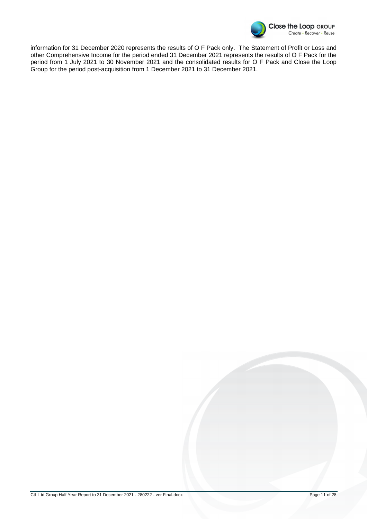

information for 31 December 2020 represents the results of O F Pack only. The Statement of Profit or Loss and other Comprehensive Income for the period ended 31 December 2021 represents the results of O F Pack for the period from 1 July 2021 to 30 November 2021 and the consolidated results for O F Pack and Close the Loop Group for the period post-acquisition from 1 December 2021 to 31 December 2021.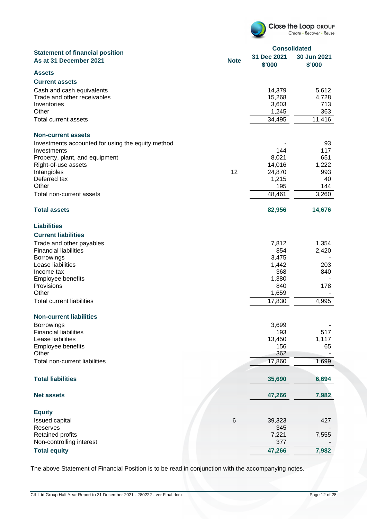|                                                                  |             | <b>Consolidated</b>   |                       |  |
|------------------------------------------------------------------|-------------|-----------------------|-----------------------|--|
| <b>Statement of financial position</b><br>As at 31 December 2021 | <b>Note</b> | 31 Dec 2021<br>\$'000 | 30 Jun 2021<br>\$'000 |  |
| <b>Assets</b>                                                    |             |                       |                       |  |
| <b>Current assets</b>                                            |             |                       |                       |  |
| Cash and cash equivalents                                        |             | 14,379                | 5,612                 |  |
| Trade and other receivables                                      |             | 15,268                | 4,728                 |  |
| Inventories                                                      |             | 3,603                 | 713                   |  |
| Other                                                            |             | 1,245                 | 363                   |  |
| Total current assets                                             |             | 34,495                | 11,416                |  |
| <b>Non-current assets</b>                                        |             |                       |                       |  |
| Investments accounted for using the equity method                |             |                       | 93                    |  |
| Investments                                                      |             | 144                   | 117                   |  |
| Property, plant, and equipment                                   |             | 8,021                 | 651                   |  |
| Right-of-use assets                                              |             | 14,016                | 1,222                 |  |
| Intangibles                                                      | 12          | 24,870                | 993                   |  |
| Deferred tax<br>Other                                            |             | 1,215                 | 40                    |  |
|                                                                  |             | 195                   | 144                   |  |
| Total non-current assets                                         |             | 48,461                | 3,260                 |  |
| <b>Total assets</b>                                              |             | 82,956                | 14,676                |  |
| <b>Liabilities</b>                                               |             |                       |                       |  |
| <b>Current liabilities</b>                                       |             |                       |                       |  |
| Trade and other payables                                         |             | 7,812                 | 1,354                 |  |
| <b>Financial liabilities</b>                                     |             | 854                   | 2,420                 |  |
| <b>Borrowings</b>                                                |             | 3,475                 |                       |  |
| Lease liabilities                                                |             | 1,442                 | 203                   |  |
| Income tax                                                       |             | 368                   | 840                   |  |
| <b>Employee benefits</b>                                         |             | 1,380                 |                       |  |
| Provisions                                                       |             | 840                   | 178                   |  |
| Other                                                            |             | 1,659                 |                       |  |
| <b>Total current liabilities</b>                                 |             | 17,830                | 4,995                 |  |
| <b>Non-current liabilities</b>                                   |             |                       |                       |  |
| Borrowings                                                       |             | 3,699                 |                       |  |
| <b>Financial liabilities</b><br>Lease liabilities                |             | 193<br>13,450         | 517<br>1,117          |  |
| Employee benefits                                                |             | 156                   | 65                    |  |
| Other                                                            |             | 362                   |                       |  |
| Total non-current liabilities                                    |             | 17,860                | 1,699                 |  |
| <b>Total liabilities</b>                                         |             | 35,690                | 6,694                 |  |
|                                                                  |             |                       |                       |  |
| <b>Net assets</b>                                                |             | 47,266                | 7,982                 |  |
| <b>Equity</b>                                                    |             |                       |                       |  |
| Issued capital                                                   | $\,6$       | 39,323                | 427                   |  |
| Reserves                                                         |             | 345                   |                       |  |
| Retained profits                                                 |             | 7,221                 | 7,555                 |  |
| Non-controlling interest                                         |             | 377                   |                       |  |
| <b>Total equity</b>                                              |             | 47,266                | 7,982                 |  |

The above Statement of Financial Position is to be read in conjunction with the accompanying notes.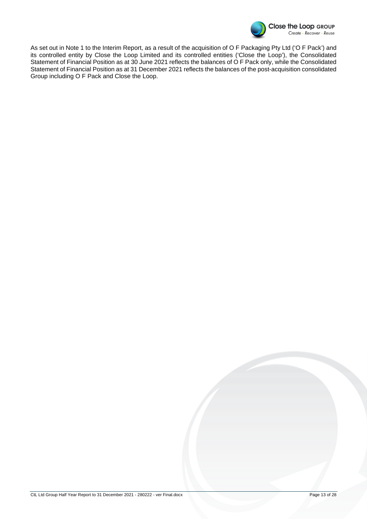

As set out in Note 1 to the Interim Report, as a result of the acquisition of O F Packaging Pty Ltd ('O F Pack') and its controlled entity by Close the Loop Limited and its controlled entities ('Close the Loop'), the Consolidated Statement of Financial Position as at 30 June 2021 reflects the balances of O F Pack only, while the Consolidated Statement of Financial Position as at 31 December 2021 reflects the balances of the post-acquisition consolidated Group including O F Pack and Close the Loop.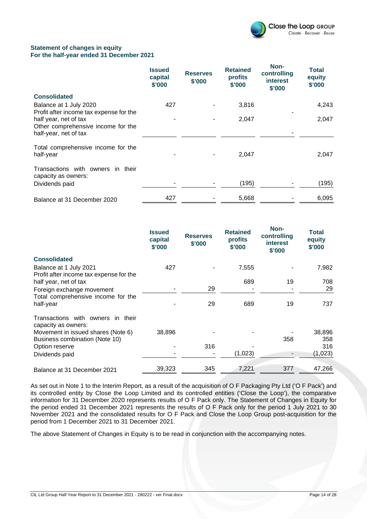

#### **Statement of changes in equity For the half-year ended 31 December 2021**

|                                                                                      | <b>Issued</b><br>capital<br>\$'000 | <b>Reserves</b><br>\$'000 | <b>Retained</b><br>profits<br>\$'000 | Non-<br>controlling<br><b>interest</b><br>\$'000 | Total<br>equity<br>\$'000 |
|--------------------------------------------------------------------------------------|------------------------------------|---------------------------|--------------------------------------|--------------------------------------------------|---------------------------|
| <b>Consolidated</b>                                                                  |                                    |                           |                                      |                                                  |                           |
| Balance at 1 July 2020<br>Profit after income tax expense for the                    | 427                                |                           | 3,816                                |                                                  | 4,243                     |
| half year, net of tax<br>Other comprehensive income for the<br>half-year, net of tax |                                    |                           | 2,047                                |                                                  | 2,047                     |
| Total comprehensive income for the<br>half-year                                      |                                    |                           | 2,047                                |                                                  | 2,047                     |
| Transactions with owners in their<br>capacity as owners:<br>Dividends paid           |                                    |                           | (195)                                |                                                  | (195)                     |
| Balance at 31 December 2020                                                          | 427                                |                           | 5,668                                |                                                  | 6,095                     |

|                                                                   | <b>Issued</b><br>capital<br>\$'000 | <b>Reserves</b><br>\$'000 | <b>Retained</b><br>profits<br>\$'000 | Non-<br>controlling<br><b>interest</b><br>\$'000 | Total<br>equity<br>\$'000 |
|-------------------------------------------------------------------|------------------------------------|---------------------------|--------------------------------------|--------------------------------------------------|---------------------------|
| <b>Consolidated</b>                                               |                                    |                           |                                      |                                                  |                           |
| Balance at 1 July 2021<br>Profit after income tax expense for the | 427                                |                           | 7,555                                |                                                  | 7,982                     |
| half year, net of tax                                             |                                    |                           | 689                                  | 19                                               | 708                       |
| Foreign exchange movement                                         |                                    | 29                        |                                      |                                                  | 29                        |
| Total comprehensive income for the                                |                                    |                           |                                      |                                                  |                           |
| half-year                                                         |                                    | 29                        | 689                                  | 19                                               | 737                       |
| Transactions with owners in their<br>capacity as owners:          |                                    |                           |                                      |                                                  |                           |
| Movement in issued shares (Note 6)                                | 38,896                             |                           |                                      |                                                  | 38,896                    |
| Business combination (Note 10)                                    |                                    |                           |                                      | 358                                              | 358                       |
| Option reserve                                                    |                                    | 316                       |                                      |                                                  | 316                       |
| Dividends paid                                                    |                                    |                           | (1,023)                              | $\overline{\phantom{a}}$                         | (1,023)                   |
| Balance at 31 December 2021                                       | 39,323                             | 345                       | 7,221                                | 377                                              | 47,266                    |

As set out in Note 1 to the Interim Report, as a result of the acquisition of O F Packaging Pty Ltd ('O F Pack') and its controlled entity by Close the Loop Limited and its controlled entities ('Close the Loop'), the comparative information for 31 December 2020 represents results of O F Pack only. The Statement of Changes in Equity for the period ended 31 December 2021 represents the results of O F Pack only for the period 1 July 2021 to 30 November 2021 and the consolidated results for O F Pack and Close the Loop Group post-acquisition for the period from 1 December 2021 to 31 December 2021.

The above Statement of Changes in Equity is to be read in conjunction with the accompanying notes.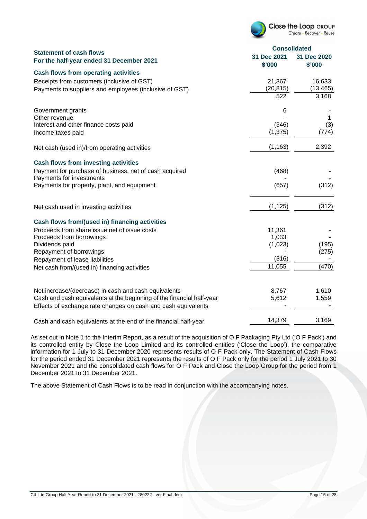

|                                                                            | <b>Consolidated</b>   |                       |
|----------------------------------------------------------------------------|-----------------------|-----------------------|
| <b>Statement of cash flows</b><br>For the half-year ended 31 December 2021 | 31 Dec 2021<br>\$'000 | 31 Dec 2020<br>\$'000 |
| <b>Cash flows from operating activities</b>                                |                       |                       |
| Receipts from customers (inclusive of GST)                                 | 21,367                | 16,633                |
| Payments to suppliers and employees (inclusive of GST)                     | (20, 815)             | (13, 465)             |
|                                                                            | 522                   | 3,168                 |
| Government grants                                                          | 6                     |                       |
| Other revenue                                                              |                       | 1                     |
| Interest and other finance costs paid                                      | (346)                 | (3)                   |
| Income taxes paid                                                          | (1, 375)              | (774)                 |
| Net cash (used in)/from operating activities                               | (1, 163)              | 2,392                 |
| <b>Cash flows from investing activities</b>                                |                       |                       |
| Payment for purchase of business, net of cash acquired                     | (468)                 |                       |
| Payments for investments<br>Payments for property, plant, and equipment    | (657)                 | (312)                 |
|                                                                            |                       |                       |
| Net cash used in investing activities                                      | (1, 125)              | (312)                 |
| Cash flows from/(used in) financing activities                             |                       |                       |
| Proceeds from share issue net of issue costs                               | 11,361                |                       |
| Proceeds from borrowings                                                   | 1,033                 |                       |
| Dividends paid                                                             | (1,023)               | (195)                 |
| Repayment of borrowings                                                    |                       | (275)                 |
| Repayment of lease liabilities                                             | (316)                 |                       |
| Net cash from/(used in) financing activities                               | 11,055                | (470)                 |
|                                                                            |                       |                       |
| Net increase/(decrease) in cash and cash equivalents                       | 8,767                 | 1,610                 |
| Cash and cash equivalents at the beginning of the financial half-year      | 5,612                 | 1,559                 |
| Effects of exchange rate changes on cash and cash equivalents              |                       |                       |
| Cash and cash equivalents at the end of the financial half-year            | 14,379                | 3,169                 |

As set out in Note 1 to the Interim Report, as a result of the acquisition of O F Packaging Pty Ltd ('O F Pack') and its controlled entity by Close the Loop Limited and its controlled entities ('Close the Loop'), the comparative information for 1 July to 31 December 2020 represents results of O F Pack only. The Statement of Cash Flows for the period ended 31 December 2021 represents the results of O F Pack only for the period 1 July 2021 to 30 November 2021 and the consolidated cash flows for O F Pack and Close the Loop Group for the period from 1 December 2021 to 31 December 2021.

The above Statement of Cash Flows is to be read in conjunction with the accompanying notes.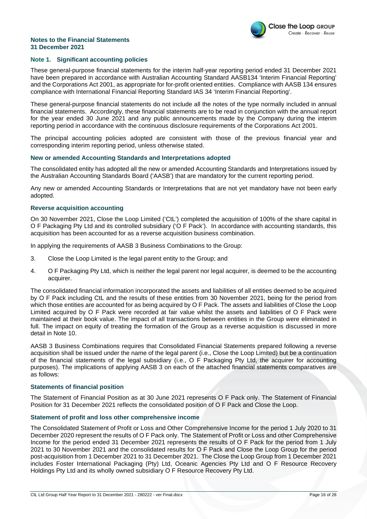

#### **Note 1. Significant accounting policies**

These general-purpose financial statements for the interim half-year reporting period ended 31 December 2021 have been prepared in accordance with Australian Accounting Standard AASB134 'Interim Financial Reporting' and the Corporations Act 2001, as appropriate for for-profit oriented entities. Compliance with AASB 134 ensures compliance with International Financial Reporting Standard IAS 34 'Interim Financial Reporting'.

These general-purpose financial statements do not include all the notes of the type normally included in annual financial statements. Accordingly, these financial statements are to be read in conjunction with the annual report for the year ended 30 June 2021 and any public announcements made by the Company during the interim reporting period in accordance with the continuous disclosure requirements of the Corporations Act 2001.

The principal accounting policies adopted are consistent with those of the previous financial year and corresponding interim reporting period, unless otherwise stated.

#### **New or amended Accounting Standards and Interpretations adopted**

The consolidated entity has adopted all the new or amended Accounting Standards and Interpretations issued by the Australian Accounting Standards Board ('AASB') that are mandatory for the current reporting period.

Any new or amended Accounting Standards or Interpretations that are not yet mandatory have not been early adopted.

#### **Reverse acquisition accounting**

On 30 November 2021, Close the Loop Limited ('CtL') completed the acquisition of 100% of the share capital in O F Packaging Pty Ltd and its controlled subsidiary ('O F Pack'). In accordance with accounting standards, this acquisition has been accounted for as a reverse acquisition business combination.

In applying the requirements of AASB 3 Business Combinations to the Group:

- 3. Close the Loop Limited is the legal parent entity to the Group; and
- 4. O F Packaging Pty Ltd, which is neither the legal parent nor legal acquirer, is deemed to be the accounting acquirer.

The consolidated financial information incorporated the assets and liabilities of all entities deemed to be acquired by O F Pack including CtL and the results of these entities from 30 November 2021, being for the period from which those entities are accounted for as being acquired by O F Pack. The assets and liabilities of Close the Loop Limited acquired by O F Pack were recorded at fair value whilst the assets and liabilities of O F Pack were maintained at their book value. The impact of all transactions between entities in the Group were eliminated in full. The impact on equity of treating the formation of the Group as a reverse acquisition is discussed in more detail in Note 10.

AASB 3 Business Combinations requires that Consolidated Financial Statements prepared following a reverse acquisition shall be issued under the name of the legal parent (i.e., Close the Loop Limited) but be a continuation of the financial statements of the legal subsidiary (i.e., O F Packaging Pty Ltd, the acquirer for accounting purposes). The implications of applying AASB 3 on each of the attached financial statements comparatives are as follows:

#### **Statements of financial position**

The Statement of Financial Position as at 30 June 2021 represents O F Pack only. The Statement of Financial Position for 31 December 2021 reflects the consolidated position of O F Pack and Close the Loop.

#### **Statement of profit and loss other comprehensive income**

The Consolidated Statement of Profit or Loss and Other Comprehensive Income for the period 1 July 2020 to 31 December 2020 represent the results of O F Pack only. The Statement of Profit or Loss and other Comprehensive Income for the period ended 31 December 2021 represents the results of O F Pack for the period from 1 July 2021 to 30 November 2021 and the consolidated results for O F Pack and Close the Loop Group for the period post-acquisition from 1 December 2021 to 31 December 2021. The Close the Loop Group from 1 December 2021 includes Foster International Packaging (Pty) Ltd, Oceanic Agencies Pty Ltd and O F Resource Recovery Holdings Pty Ltd and its wholly owned subsidiary O F Resource Recovery Pty Ltd.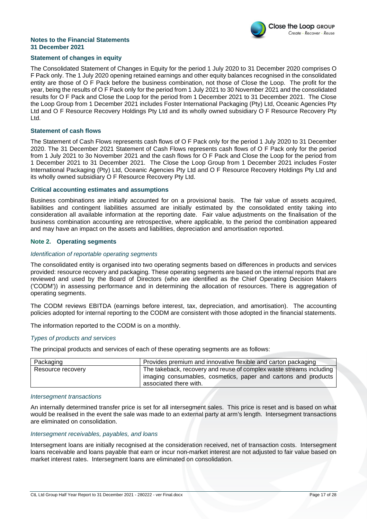

#### **Statement of changes in equity**

The Consolidated Statement of Changes in Equity for the period 1 July 2020 to 31 December 2020 comprises O F Pack only. The 1 July 2020 opening retained earnings and other equity balances recognised in the consolidated entity are those of O F Pack before the business combination, not those of Close the Loop. The profit for the year, being the results of O F Pack only for the period from 1 July 2021 to 30 November 2021 and the consolidated results for O F Pack and Close the Loop for the period from 1 December 2021 to 31 December 2021. The Close the Loop Group from 1 December 2021 includes Foster International Packaging (Pty) Ltd, Oceanic Agencies Pty Ltd and O F Resource Recovery Holdings Pty Ltd and its wholly owned subsidiary O F Resource Recovery Pty Ltd.

#### **Statement of cash flows**

The Statement of Cash Flows represents cash flows of O F Pack only for the period 1 July 2020 to 31 December 2020. The 31 December 2021 Statement of Cash Flows represents cash flows of O F Pack only for the period from 1 July 2021 to 3o November 2021 and the cash flows for O F Pack and Close the Loop for the period from 1 December 2021 to 31 December 2021. The Close the Loop Group from 1 December 2021 includes Foster International Packaging (Pty) Ltd, Oceanic Agencies Pty Ltd and O F Resource Recovery Holdings Pty Ltd and its wholly owned subsidiary O F Resource Recovery Pty Ltd.

#### **Critical accounting estimates and assumptions**

Business combinations are initially accounted for on a provisional basis. The fair value of assets acquired, liabilities and contingent liabilities assumed are initially estimated by the consolidated entity taking into consideration all available information at the reporting date. Fair value adjustments on the finalisation of the business combination accounting are retrospective, where applicable, to the period the combination appeared and may have an impact on the assets and liabilities, depreciation and amortisation reported.

#### **Note 2. Operating segments**

#### Identification of reportable operating segments

The consolidated entity is organised into two operating segments based on differences in products and services provided: resource recovery and packaging. These operating segments are based on the internal reports that are reviewed and used by the Board of Directors (who are identified as the Chief Operating Decision Makers ('CODM')) in assessing performance and in determining the allocation of resources. There is aggregation of operating segments.

The CODM reviews EBITDA (earnings before interest, tax, depreciation, and amortisation). The accounting policies adopted for internal reporting to the CODM are consistent with those adopted in the financial statements.

The information reported to the CODM is on a monthly.

#### Types of products and services

The principal products and services of each of these operating segments are as follows:

| Packaging         | Provides premium and innovative flexible and carton packaging                                                                                                   |
|-------------------|-----------------------------------------------------------------------------------------------------------------------------------------------------------------|
| Resource recovery | The takeback, recovery and reuse of complex waste streams including<br>imaging consumables, cosmetics, paper and cartons and products<br>associated there with. |

#### Intersegment transactions

An internally determined transfer price is set for all intersegment sales. This price is reset and is based on what would be realised in the event the sale was made to an external party at arm's length. Intersegment transactions are eliminated on consolidation.

#### Intersegment receivables, payables, and loans

Intersegment loans are initially recognised at the consideration received, net of transaction costs. Intersegment loans receivable and loans payable that earn or incur non-market interest are not adjusted to fair value based on market interest rates. Intersegment loans are eliminated on consolidation.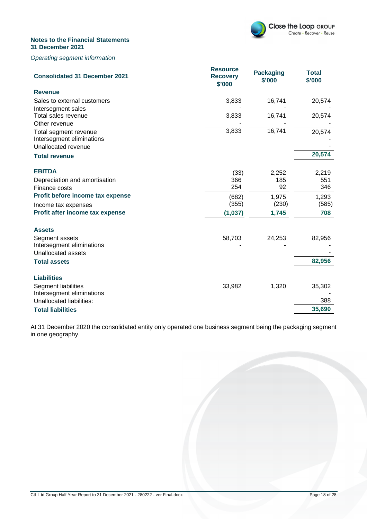

#### Operating segment information

| <b>Consolidated 31 December 2021</b>             | <b>Resource</b><br><b>Recovery</b><br>\$'000 | <b>Packaging</b><br>\$'000 | <b>Total</b><br>\$'000 |
|--------------------------------------------------|----------------------------------------------|----------------------------|------------------------|
| <b>Revenue</b>                                   |                                              |                            |                        |
| Sales to external customers                      | 3,833                                        | 16,741                     | 20,574                 |
| Intersegment sales                               |                                              |                            |                        |
| Total sales revenue                              | 3,833                                        | 16,741                     | 20,574                 |
| Other revenue                                    |                                              |                            |                        |
| Total segment revenue                            | 3,833                                        | 16,741                     | 20,574                 |
| Intersegment eliminations<br>Unallocated revenue |                                              |                            |                        |
|                                                  |                                              |                            | 20,574                 |
| <b>Total revenue</b>                             |                                              |                            |                        |
| <b>EBITDA</b>                                    | (33)                                         | 2,252                      | 2,219                  |
| Depreciation and amortisation                    | 366                                          | 185                        | 551                    |
| Finance costs                                    | 254                                          | 92                         | 346                    |
| Profit before income tax expense                 | (682)                                        | 1,975                      | 1,293                  |
| Income tax expenses                              | (355)                                        | (230)                      | (585)                  |
| Profit after income tax expense                  | (1,037)                                      | 1,745                      | 708                    |
|                                                  |                                              |                            |                        |
| <b>Assets</b>                                    |                                              |                            |                        |
| Segment assets                                   | 58,703                                       | 24,253                     | 82,956                 |
| Intersegment eliminations                        |                                              |                            |                        |
| <b>Unallocated assets</b>                        |                                              |                            |                        |
| <b>Total assets</b>                              |                                              |                            | 82,956                 |
| <b>Liabilities</b>                               |                                              |                            |                        |
| Segment liabilities                              | 33,982                                       | 1,320                      | 35,302                 |
| Intersegment eliminations                        |                                              |                            |                        |
| Unallocated liabilities:                         |                                              |                            | 388                    |
| <b>Total liabilities</b>                         |                                              |                            | 35,690                 |

At 31 December 2020 the consolidated entity only operated one business segment being the packaging segment in one geography.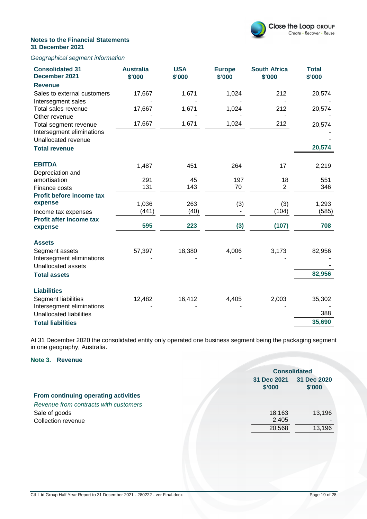

#### Geographical segment information

| <b>Consolidated 31</b><br>December 2021 | <b>Australia</b><br>\$'000 | <b>USA</b><br>\$'000 | <b>Europe</b><br>\$'000 | <b>South Africa</b><br>\$'000 | <b>Total</b><br>\$'000 |
|-----------------------------------------|----------------------------|----------------------|-------------------------|-------------------------------|------------------------|
| <b>Revenue</b>                          |                            |                      |                         |                               |                        |
| Sales to external customers             | 17,667                     | 1,671                | 1,024                   | 212                           | 20,574                 |
| Intersegment sales                      |                            |                      |                         |                               |                        |
| Total sales revenue                     | 17,667                     | 1,671                | 1,024                   | 212                           | 20,574                 |
| Other revenue                           |                            |                      |                         |                               |                        |
| Total segment revenue                   | 17,667                     | 1,671                | 1,024                   | 212                           | 20,574                 |
| Intersegment eliminations               |                            |                      |                         |                               |                        |
| Unallocated revenue                     |                            |                      |                         |                               |                        |
| <b>Total revenue</b>                    |                            |                      |                         |                               | 20,574                 |
| <b>EBITDA</b>                           | 1,487                      | 451                  | 264                     | 17                            | 2,219                  |
| Depreciation and                        |                            |                      |                         |                               |                        |
| amortisation                            | 291                        | 45                   | 197                     | 18                            | 551                    |
| Finance costs                           | 131                        | 143                  | 70                      | $\overline{2}$                | 346                    |
| Profit before income tax                |                            |                      |                         |                               |                        |
| expense                                 | 1,036                      | 263                  | (3)                     | (3)                           | 1,293                  |
| Income tax expenses                     | (441)                      | (40)                 |                         | (104)                         | (585)                  |
| Profit after income tax                 |                            |                      |                         |                               |                        |
| expense                                 | 595                        | 223                  | (3)                     | (107)                         | 708                    |
| <b>Assets</b>                           |                            |                      |                         |                               |                        |
| Segment assets                          | 57,397                     | 18,380               | 4,006                   | 3,173                         | 82,956                 |
| Intersegment eliminations               |                            |                      |                         |                               |                        |
| <b>Unallocated assets</b>               |                            |                      |                         |                               |                        |
| <b>Total assets</b>                     |                            |                      |                         |                               | 82,956                 |
| <b>Liabilities</b>                      |                            |                      |                         |                               |                        |
| <b>Segment liabilities</b>              | 12,482                     | 16,412               | 4,405                   | 2,003                         | 35,302                 |
| Intersegment eliminations               |                            |                      |                         |                               |                        |
| <b>Unallocated liabilities</b>          |                            |                      |                         |                               | 388                    |
| <b>Total liabilities</b>                |                            |                      |                         |                               | 35,690                 |

At 31 December 2020 the consolidated entity only operated one business segment being the packaging segment in one geography, Australia.

#### **Note 3. Revenue**

|                                       |                       | <b>Consolidated</b>   |  |
|---------------------------------------|-----------------------|-----------------------|--|
|                                       | 31 Dec 2021<br>\$'000 | 31 Dec 2020<br>\$'000 |  |
| From continuing operating activities  |                       |                       |  |
| Revenue from contracts with customers |                       |                       |  |
| Sale of goods                         | 18,163                | 13,196                |  |
| Collection revenue                    | 2,405                 |                       |  |
|                                       | 20,568                | 13,196                |  |
|                                       |                       |                       |  |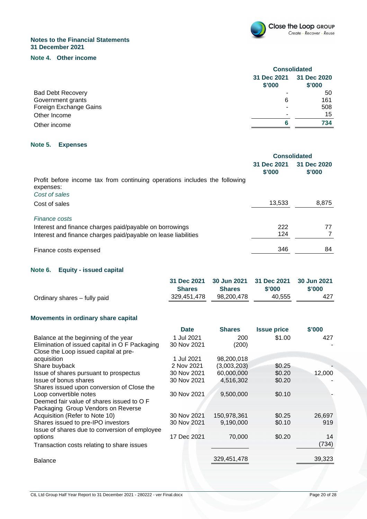

#### **Note 4. Other income**

|                          | <b>Consolidated</b>   |                       |
|--------------------------|-----------------------|-----------------------|
|                          | 31 Dec 2021<br>\$'000 | 31 Dec 2020<br>\$'000 |
| <b>Bad Debt Recovery</b> |                       | 50                    |
| Government grants        | 6                     | 161                   |
| Foreign Exchange Gains   |                       | 508                   |
| Other Income             | -                     | 15                    |
| Other income             | 6                     | 734                   |

#### **Note 5. Expenses**

|                                                                                         | <b>Consolidated</b>   |                       |
|-----------------------------------------------------------------------------------------|-----------------------|-----------------------|
|                                                                                         | 31 Dec 2021<br>\$'000 | 31 Dec 2020<br>\$'000 |
| Profit before income tax from continuing operations includes the following<br>expenses: |                       |                       |
| Cost of sales                                                                           |                       |                       |
| Cost of sales                                                                           | 13,533                | 8,875                 |
| <b>Finance costs</b>                                                                    |                       |                       |
| Interest and finance charges paid/payable on borrowings                                 | 222                   | 77                    |
| Interest and finance charges paid/payable on lease liabilities                          | 124                   |                       |
| Finance costs expensed                                                                  | 346                   | 84                    |

#### **Note 6. Equity - issued capital**

|                              |               | 31 Dec 2021 30 Jun 2021 31 Dec 2021 30 Jun 2021 |        |        |
|------------------------------|---------------|-------------------------------------------------|--------|--------|
|                              | <b>Shares</b> | <b>Shares</b>                                   | \$'000 | \$'000 |
| Ordinary shares – fully paid | 329.451.478   | 98.200.478                                      | 40.555 | 427    |

### **Movements in ordinary share capital**

|                                                | <b>Date</b> | <b>Shares</b> | <b>Issue price</b> | \$'000 |
|------------------------------------------------|-------------|---------------|--------------------|--------|
| Balance at the beginning of the year           | 1 Jul 2021  | 200           | \$1.00             | 427    |
| Elimination of issued capital in O F Packaging | 30 Nov 2021 | (200)         |                    |        |
| Close the Loop issued capital at pre-          |             |               |                    |        |
| acquisition                                    | 1 Jul 2021  | 98,200,018    |                    |        |
| Share buyback                                  | 2 Nov 2021  | (3,003,203)   | \$0.25             |        |
| Issue of shares pursuant to prospectus         | 30 Nov 2021 | 60,000,000    | \$0.20             | 12,000 |
| Issue of bonus shares                          | 30 Nov 2021 | 4,516,302     | \$0.20             |        |
| Shares issued upon conversion of Close the     |             |               |                    |        |
| Loop convertible notes                         | 30 Nov 2021 | 9,500,000     | \$0.10             |        |
| Deemed fair value of shares issued to O F      |             |               |                    |        |
| Packaging Group Vendors on Reverse             |             |               |                    |        |
| Acquisition (Refer to Note 10)                 | 30 Nov 2021 | 150,978,361   | \$0.25             | 26,697 |
| Shares issued to pre-IPO investors             | 30 Nov 2021 | 9,190,000     | \$0.10             | 919    |
| Issue of shares due to conversion of employee  |             |               |                    |        |
| options                                        | 17 Dec 2021 | 70,000        | \$0.20             | 14     |
| Transaction costs relating to share issues     |             |               |                    | (734)  |
| <b>Balance</b>                                 |             | 329,451,478   |                    | 39,323 |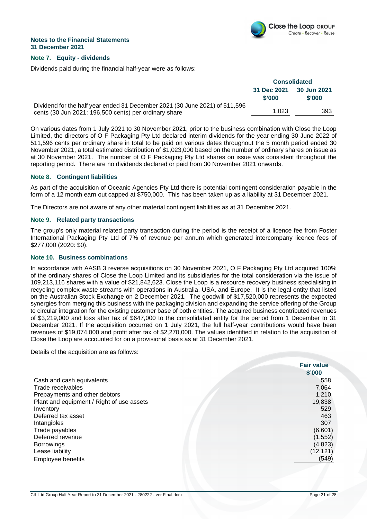

#### **Note 7. Equity - dividends**

Dividends paid during the financial half-year were as follows:

|                                                                                                                                      | <b>Consolidated</b>   |                       |
|--------------------------------------------------------------------------------------------------------------------------------------|-----------------------|-----------------------|
|                                                                                                                                      | 31 Dec 2021<br>\$'000 | 30 Jun 2021<br>\$'000 |
| Dividend for the half year ended 31 December 2021 (30 June 2021) of 511,596<br>cents (30 Jun 2021: 196,500 cents) per ordinary share | 1.023                 | 393                   |

On various dates from 1 July 2021 to 30 November 2021, prior to the business combination with Close the Loop Limited, the directors of O F Packaging Pty Ltd declared interim dividends for the year ending 30 June 2022 of 511,596 cents per ordinary share in total to be paid on various dates throughout the 5 month period ended 30 November 2021, a total estimated distribution of \$1,023,000 based on the number of ordinary shares on issue as at 30 November 2021. The number of O F Packaging Pty Ltd shares on issue was consistent throughout the reporting period. There are no dividends declared or paid from 30 November 2021 onwards.

#### **Note 8. Contingent liabilities**

As part of the acquisition of Oceanic Agencies Pty Ltd there is potential contingent consideration payable in the form of a 12 month earn out capped at \$750,000. This has been taken up as a liability at 31 December 2021.

The Directors are not aware of any other material contingent liabilities as at 31 December 2021.

#### **Note 9. Related party transactions**

The group's only material related party transaction during the period is the receipt of a licence fee from Foster International Packaging Pty Ltd of 7% of revenue per annum which generated intercompany licence fees of \$277,000 (2020: \$0).

#### **Note 10. Business combinations**

In accordance with AASB 3 reverse acquisitions on 30 November 2021, O F Packaging Pty Ltd acquired 100% of the ordinary shares of Close the Loop Limited and its subsidiaries for the total consideration via the issue of 109,213,116 shares with a value of \$21,842,623. Close the Loop is a resource recovery business specialising in recycling complex waste streams with operations in Australia, USA, and Europe. It is the legal entity that listed on the Australian Stock Exchange on 2 December 2021. The goodwill of \$17,520,000 represents the expected synergies from merging this business with the packaging division and expanding the service offering of the Group to circular integration for the existing customer base of both entities. The acquired business contributed revenues of \$3,219,000 and loss after tax of \$647,000 to the consolidated entity for the period from 1 December to 31 December 2021. If the acquisition occurred on 1 July 2021, the full half-year contributions would have been revenues of \$19,074,000 and profit after tax of \$2,270,000. The values identified in relation to the acquisition of Close the Loop are accounted for on a provisional basis as at 31 December 2021.

Details of the acquisition are as follows:

|                                           | <b>Fair value</b><br>\$'000 |
|-------------------------------------------|-----------------------------|
|                                           |                             |
| Cash and cash equivalents                 | 558                         |
| Trade receivables                         | 7,064                       |
| Prepayments and other debtors             | 1,210                       |
| Plant and equipment / Right of use assets | 19,838                      |
| Inventory                                 | 529                         |
| Deferred tax asset                        | 463                         |
| Intangibles                               | 307                         |
| Trade payables                            | (6,601)                     |
| Deferred revenue                          | (1, 552)                    |
| <b>Borrowings</b>                         | (4,823)                     |
| Lease liability                           | (12, 121)                   |
| Employee benefits                         | (549)                       |
|                                           |                             |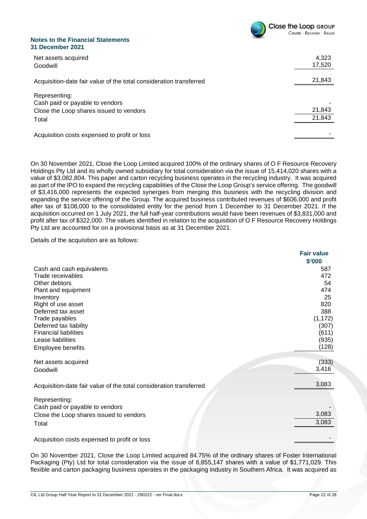

| Net assets acquired<br>Goodwill                                                                      | 4,323<br>17,520  |
|------------------------------------------------------------------------------------------------------|------------------|
| Acquisition-date fair value of the total consideration transferred                                   | 21,843           |
| Representing:<br>Cash paid or payable to vendors<br>Close the Loop shares issued to vendors<br>Total | 21,843<br>21,843 |
| Acquisition costs expensed to profit or loss                                                         |                  |

On 30 November 2021, Close the Loop Limited acquired 100% of the ordinary shares of O F Resource Recovery Holdings Pty Ltd and its wholly owned subsidiary for total consideration via the issue of 15,414,020 shares with a value of \$3,082,804. This paper and carton recycling business operates in the recycling industry. It was acquired as part of the IPO to expand the recycling capabilities of the Close the Loop Group's service offering. The goodwill of \$3,416,000 represents the expected synergies from merging this business with the recycling division and expanding the service offering of the Group. The acquired business contributed revenues of \$606,000 and profit after tax of \$108,000 to the consolidated entity for the period from 1 December to 31 December 2021. If the acquisition occurred on 1 July 2021, the full half-year contributions would have been revenues of \$3,831,000 and profit after tax of \$322,000. The values identified in relation to the acquisition of O F Resource Recovery Holdings Pty Ltd are accounted for on a provisional basis as at 31 December 2021.

Details of the acquisition are as follows:

|                                                                    | <b>Fair value</b> |
|--------------------------------------------------------------------|-------------------|
|                                                                    | \$'000            |
| Cash and cash equivalents                                          | 587               |
| Trade receivables                                                  | 472               |
| Other debtors                                                      | 54                |
| Plant and equipment                                                | 474               |
| Inventory                                                          | 25                |
| Right of use asset                                                 | 820               |
| Deferred tax asset                                                 | 388               |
| Trade payables                                                     | (1, 172)          |
| Deferred tax liability                                             | (307)             |
| <b>Financial liabilities</b>                                       | (611)             |
| Lease liabilities                                                  | (935)             |
| Employee benefits                                                  | (128)             |
|                                                                    | (333)             |
| Net assets acquired                                                | 3,416             |
| Goodwill                                                           |                   |
|                                                                    |                   |
| Acquisition-date fair value of the total consideration transferred | 3,083             |
| Representing:                                                      |                   |
| Cash paid or payable to vendors                                    |                   |
| Close the Loop shares issued to vendors                            | 3,083             |
|                                                                    | 3,083             |
| Total                                                              |                   |
| Acquisition costs expensed to profit or loss                       |                   |
|                                                                    |                   |

On 30 November 2021, Close the Loop Limited acquired 84.75% of the ordinary shares of Foster International Packaging (Pty) Ltd for total consideration via the issue of 8,855,147 shares with a value of \$1,771,029. This flexible and carton packaging business operates in the packaging industry in Southern Africa. It was acquired as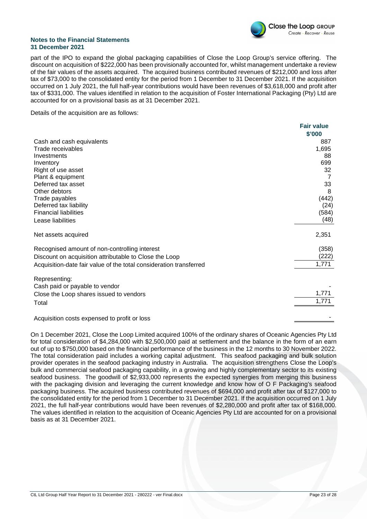

part of the IPO to expand the global packaging capabilities of Close the Loop Group's service offering. The discount on acquisition of \$222,000 has been provisionally accounted for, whilst management undertake a review of the fair values of the assets acquired. The acquired business contributed revenues of \$212,000 and loss after tax of \$73,000 to the consolidated entity for the period from 1 December to 31 December 2021. If the acquisition occurred on 1 July 2021, the full half-year contributions would have been revenues of \$3,618,000 and profit after tax of \$331,000. The values identified in relation to the acquisition of Foster International Packaging (Pty) Ltd are accounted for on a provisional basis as at 31 December 2021.

Details of the acquisition are as follows:

|                                                                    | <b>Fair value</b> |
|--------------------------------------------------------------------|-------------------|
|                                                                    | \$'000            |
| Cash and cash equivalents                                          | 887               |
| Trade receivables                                                  | 1,695             |
| Investments                                                        | 88                |
| Inventory                                                          | 699               |
| Right of use asset                                                 | 32                |
| Plant & equipment                                                  | 7                 |
| Deferred tax asset                                                 | 33                |
| Other debtors                                                      | 8                 |
| Trade payables                                                     | (442)             |
| Deferred tax liability                                             | (24)              |
| <b>Financial liabilities</b>                                       | (584)             |
| Lease liabilities                                                  | (48)              |
| Net assets acquired                                                | 2,351             |
| Recognised amount of non-controlling interest                      | (358)             |
| Discount on acquisition attributable to Close the Loop             | (222)             |
| Acquisition-date fair value of the total consideration transferred | 1,771             |
| Representing:                                                      |                   |
| Cash paid or payable to vendor                                     |                   |
| Close the Loop shares issued to vendors                            | 1,771             |
| Total                                                              | 1,771             |
|                                                                    |                   |
| Acquisition costs expensed to profit or loss                       |                   |

On 1 December 2021, Close the Loop Limited acquired 100% of the ordinary shares of Oceanic Agencies Pty Ltd for total consideration of \$4,284,000 with \$2,500,000 paid at settlement and the balance in the form of an earn out of up to \$750,000 based on the financial performance of the business in the 12 months to 30 November 2022. The total consideration paid includes a working capital adjustment. This seafood packaging and bulk solution provider operates in the seafood packaging industry in Australia. The acquisition strengthens Close the Loop's bulk and commercial seafood packaging capability, in a growing and highly complementary sector to its existing seafood business. The goodwill of \$2,933,000 represents the expected synergies from merging this business with the packaging division and leveraging the current knowledge and know how of O F Packaging's seafood packaging business. The acquired business contributed revenues of \$694,000 and profit after tax of \$127,000 to the consolidated entity for the period from 1 December to 31 December 2021. If the acquisition occurred on 1 July 2021, the full half-year contributions would have been revenues of \$2,280,000 and profit after tax of \$168,000. The values identified in relation to the acquisition of Oceanic Agencies Pty Ltd are accounted for on a provisional basis as at 31 December 2021.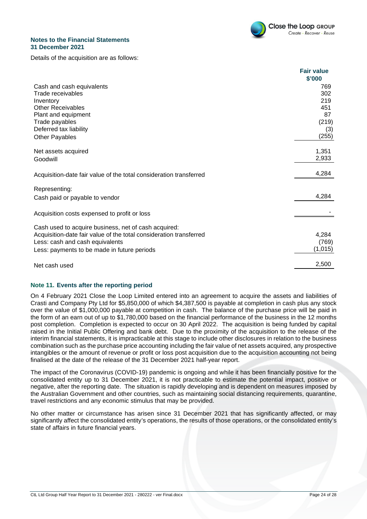

Details of the acquisition are as follows:

|                                                                    | <b>Fair value</b> |
|--------------------------------------------------------------------|-------------------|
|                                                                    | \$'000            |
| Cash and cash equivalents                                          | 769               |
| Trade receivables                                                  | 302               |
| Inventory                                                          | 219               |
| <b>Other Receivables</b>                                           | 451               |
| Plant and equipment                                                | 87                |
| Trade payables                                                     | (219)             |
| Deferred tax liability                                             | (3)               |
| <b>Other Payables</b>                                              | (255)             |
| Net assets acquired                                                | 1,351             |
| Goodwill                                                           | 2,933             |
|                                                                    | 4,284             |
| Acquisition-date fair value of the total consideration transferred |                   |
| Representing:                                                      |                   |
| Cash paid or payable to vendor                                     | 4,284             |
| Acquisition costs expensed to profit or loss                       |                   |
| Cash used to acquire business, net of cash acquired:               |                   |
| Acquisition-date fair value of the total consideration transferred | 4,284             |
| Less: cash and cash equivalents                                    | (769)             |
| Less: payments to be made in future periods                        | (1,015)           |
|                                                                    |                   |
| Net cash used                                                      | 2,500             |

#### **Note 11. Events after the reporting period**

On 4 February 2021 Close the Loop Limited entered into an agreement to acquire the assets and liabilities of Crasti and Company Pty Ltd for \$5,850,000 of which \$4,387,500 is payable at completion in cash plus any stock over the value of \$1,000,000 payable at competition in cash. The balance of the purchase price will be paid in the form of an earn out of up to \$1,780,000 based on the financial performance of the business in the 12 months post completion. Completion is expected to occur on 30 April 2022. The acquisition is being funded by capital raised in the Initial Public Offering and bank debt. Due to the proximity of the acquisition to the release of the interim financial statements, it is impracticable at this stage to include other disclosures in relation to the business combination such as the purchase price accounting including the fair value of net assets acquired, any prospective intangibles or the amount of revenue or profit or loss post acquisition due to the acquisition accounting not being finalised at the date of the release of the 31 December 2021 half-year report.

The impact of the Coronavirus (COVID-19) pandemic is ongoing and while it has been financially positive for the consolidated entity up to 31 December 2021, it is not practicable to estimate the potential impact, positive or negative, after the reporting date. The situation is rapidly developing and is dependent on measures imposed by the Australian Government and other countries, such as maintaining social distancing requirements, quarantine, travel restrictions and any economic stimulus that may be provided.

No other matter or circumstance has arisen since 31 December 2021 that has significantly affected, or may significantly affect the consolidated entity's operations, the results of those operations, or the consolidated entity's state of affairs in future financial years.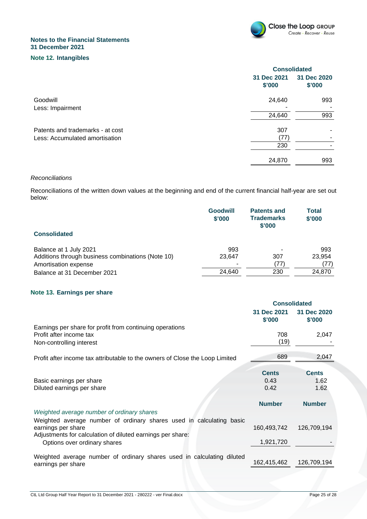

#### **Note 12. Intangibles**

|                                  | <b>Consolidated</b>   |                       |
|----------------------------------|-----------------------|-----------------------|
|                                  | 31 Dec 2021<br>\$'000 | 31 Dec 2020<br>\$'000 |
| Goodwill                         | 24,640                | 993                   |
| Less: Impairment                 |                       |                       |
|                                  | 24,640                | 993                   |
| Patents and trademarks - at cost | 307                   |                       |
| Less: Accumulated amortisation   | (77)                  |                       |
|                                  | 230                   |                       |
|                                  | 24,870                | 993                   |

#### **Reconciliations**

Reconciliations of the written down values at the beginning and end of the current financial half-year are set out below:

| <b>Consolidated</b>                               | <b>Goodwill</b><br>\$'000 | <b>Patents and</b><br><b>Trademarks</b><br>\$'000 | <b>Total</b><br>\$'000 |
|---------------------------------------------------|---------------------------|---------------------------------------------------|------------------------|
|                                                   |                           |                                                   |                        |
| Balance at 1 July 2021                            | 993                       |                                                   | 993                    |
| Additions through business combinations (Note 10) | 23,647                    | 307                                               | 23,954                 |
| Amortisation expense                              | ۰                         | (77)                                              | (77)                   |
| Balance at 31 December 2021                       | 24,640                    | 230                                               | 24,870                 |

#### **Note 13. Earnings per share**

|                                                                                                                                                          | <b>Consolidated</b>          |                              |
|----------------------------------------------------------------------------------------------------------------------------------------------------------|------------------------------|------------------------------|
|                                                                                                                                                          | 31 Dec 2021<br>\$'000        | 31 Dec 2020<br>\$'000        |
| Earnings per share for profit from continuing operations<br>Profit after income tax<br>Non-controlling interest                                          | 708<br>(19)                  | 2,047                        |
| Profit after income tax attributable to the owners of Close the Loop Limited                                                                             | 689                          | 2,047                        |
| Basic earnings per share<br>Diluted earnings per share                                                                                                   | <b>Cents</b><br>0.43<br>0.42 | <b>Cents</b><br>1.62<br>1.62 |
| Weighted average number of ordinary shares                                                                                                               | <b>Number</b>                | <b>Number</b>                |
| Weighted average number of ordinary shares used in calculating basic<br>earnings per share<br>Adjustments for calculation of diluted earnings per share: | 160,493,742                  | 126,709,194                  |
| Options over ordinary shares                                                                                                                             | 1,921,720                    |                              |
| Weighted average number of ordinary shares used in calculating diluted<br>earnings per share                                                             | 162,415,462                  | 126,709,194                  |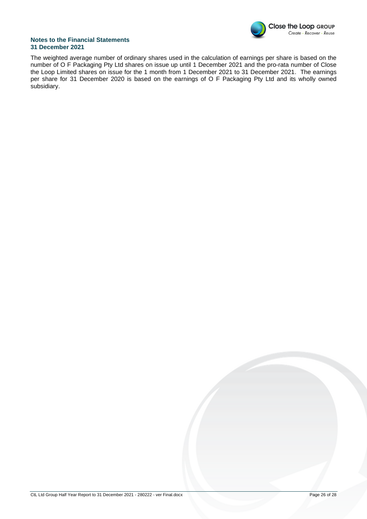

The weighted average number of ordinary shares used in the calculation of earnings per share is based on the number of O F Packaging Pty Ltd shares on issue up until 1 December 2021 and the pro-rata number of Close the Loop Limited shares on issue for the 1 month from 1 December 2021 to 31 December 2021. The earnings per share for 31 December 2020 is based on the earnings of O F Packaging Pty Ltd and its wholly owned subsidiary.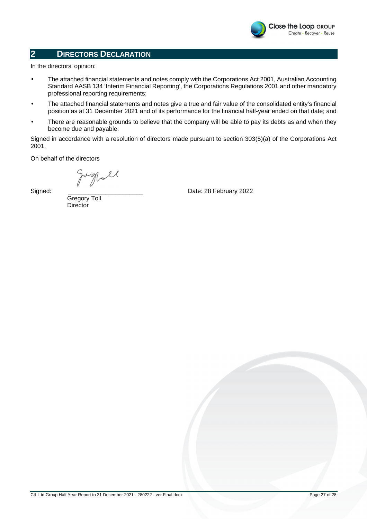

#### **2 DIRECTORS DECLARATION**

In the directors' opinion:

- The attached financial statements and notes comply with the Corporations Act 2001, Australian Accounting Standard AASB 134 'Interim Financial Reporting', the Corporations Regulations 2001 and other mandatory professional reporting requirements;
- The attached financial statements and notes give a true and fair value of the consolidated entity's financial position as at 31 December 2021 and of its performance for the financial half-year ended on that date; and
- There are reasonable grounds to believe that the company will be able to pay its debts as and when they become due and payable.

Signed in accordance with a resolution of directors made pursuant to section 303(5)(a) of the Corporations Act 2001.

On behalf of the directors

grypoll

Date: 28 February 2022

 Gregory Toll **Director** 

Signed: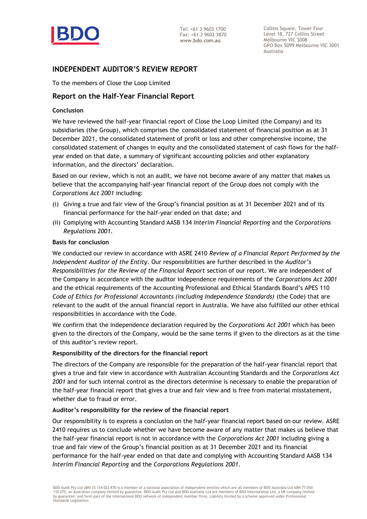

#### **INDEPENDENT AUDITOR'S REVIEW REPORT**

To the members of Close the Loop Limited

#### **Report on the Half-Year Financial Report**

#### **Conclusion**

We have reviewed the half-year financial report of Close the Loop Limited (the Company) and its subsidiaries (the Group), which comprises the consolidated statement of financial position as at 31 December 2021, the consolidated statement of profit or loss and other comprehensive income, the consolidated statement of changes in equity and the consolidated statement of cash flows for the halfyear ended on that date, a summary of significant accounting policies and other explanatory information, and the directors' declaration.

Based on our review, which is not an audit, we have not become aware of any matter that makes us believe that the accompanying half-year financial report of the Group does not comply with the *Corporations Act 2001* including:

- (i) Giving a true and fair view of the Group's financial position as at 31 December 2021 and of its financial performance for the half-year ended on that date; and
- (ii) Complying with Accounting Standard AASB 134 *Interim Financial Reporting* and the *Corporations Regulations 2001.*

#### **Basis for conclusion**

We conducted our review in accordance with ASRE 2410 *Review of a Financial Report Performed by the Independent Auditor of the Entity*. Our responsibilities are further described in the *Auditor's Responsibilities for the Review of the Financial Report* section of our report. We are independent of the Company in accordance with the auditor independence requirements of the *Corporations Act 2001* and the ethical requirements of the Accounting Professional and Ethical Standards Board's APES 110 *Code of Ethics for Professional Accountants (including Independence Standards)* (the Code) that are relevant to the audit of the annual financial report in Australia. We have also fulfilled our other ethical responsibilities in accordance with the Code.

We confirm that the independence declaration required by the *Corporations Act 2001* which has been given to the directors of the Company, would be the same terms if given to the directors as at the time of this auditor's review report.

#### **Responsibility of the directors for the financial report**

The directors of the Company are responsible for the preparation of the half-year financial report that gives a true and fair view in accordance with Australian Accounting Standards and the *Corporations Act 2001* and for such internal control as the directors determine is necessary to enable the preparation of the half-year financial report that gives a true and fair view and is free from material misstatement, whether due to fraud or error.

#### **Auditor's responsibility for the review of the financial report**

Our responsibility is to express a conclusion on the half-year financial report based on our review. ASRE 2410 requires us to conclude whether we have become aware of any matter that makes us believe that the half-year financial report is not in accordance with the *Corporations Act 2001* including giving a true and fair view of the Group's financial position as at 31 December 2021 and its financial performance for the half-year ended on that date and complying with Accounting Standard AASB 134 *Interim Financial Reporting* and the *Corporations Regulations 2001*.